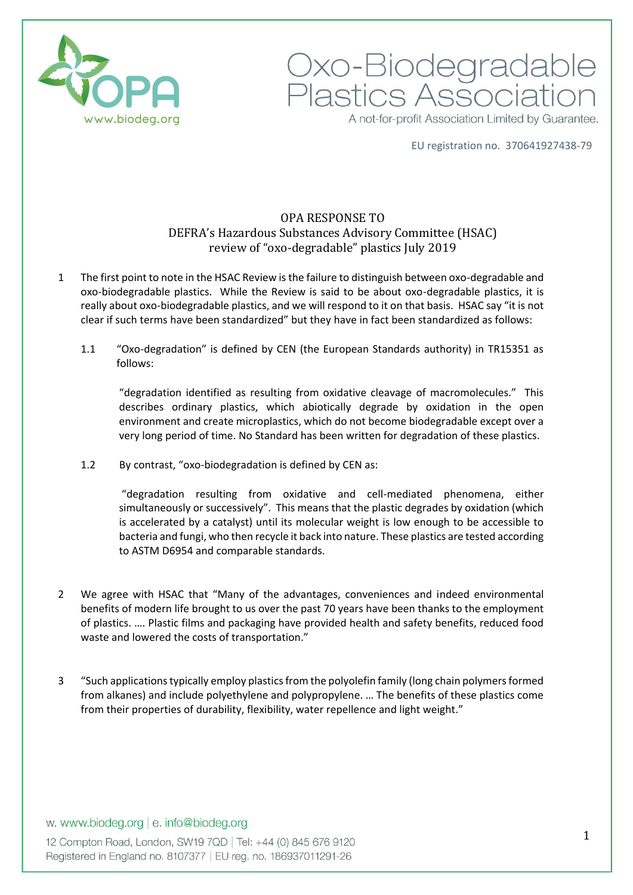

Oxo-Biodegradable<br>Plastics Association A not-for-profit Association Limited by Guarantee.

EU registration no. 370641927438-79

# OPA RESPONSE TO DEFRA's Hazardous Substances Advisory Committee (HSAC) review of "oxo-degradable" plastics July 2019

- 1 The first point to note in the HSAC Review is the failure to distinguish between oxo-degradable and oxo-biodegradable plastics. While the Review is said to be about oxo-degradable plastics, it is really about oxo-biodegradable plastics, and we will respond to it on that basis. HSAC say "it is not clear if such terms have been standardized" but they have in fact been standardized as follows:
	- 1.1 "Oxo-degradation" is defined by CEN (the European Standards authority) in TR15351 as follows:

"degradation identified as resulting from oxidative cleavage of macromolecules." This describes ordinary plastics, which abiotically degrade by oxidation in the open environment and create microplastics, which do not become biodegradable except over a very long period of time. No Standard has been written for degradation of these plastics.

1.2 By contrast, "oxo-biodegradation is defined by CEN as:

"degradation resulting from oxidative and cell-mediated phenomena, either simultaneously or successively". This means that the plastic degrades by oxidation (which is accelerated by a catalyst) until its molecular weight is low enough to be accessible to bacteria and fungi, who then recycle it back into nature. These plastics are tested according to ASTM D6954 and comparable standards.

- 2 We agree with HSAC that "Many of the advantages, conveniences and indeed environmental benefits of modern life brought to us over the past 70 years have been thanks to the employment of plastics. …. Plastic films and packaging have provided health and safety benefits, reduced food waste and lowered the costs of transportation."
- 3 "Such applications typically employ plastics from the polyolefin family (long chain polymers formed from alkanes) and include polyethylene and polypropylene. … The benefits of these plastics come from their properties of durability, flexibility, water repellence and light weight."

## w. www.biodeg.org | e. info@biodeg.org

12 Compton Road, London, SW19 7QD | Tel: +44 (0) 845 676 9120 Registered in England no. 8107377 | EU reg. no. 186937011291-26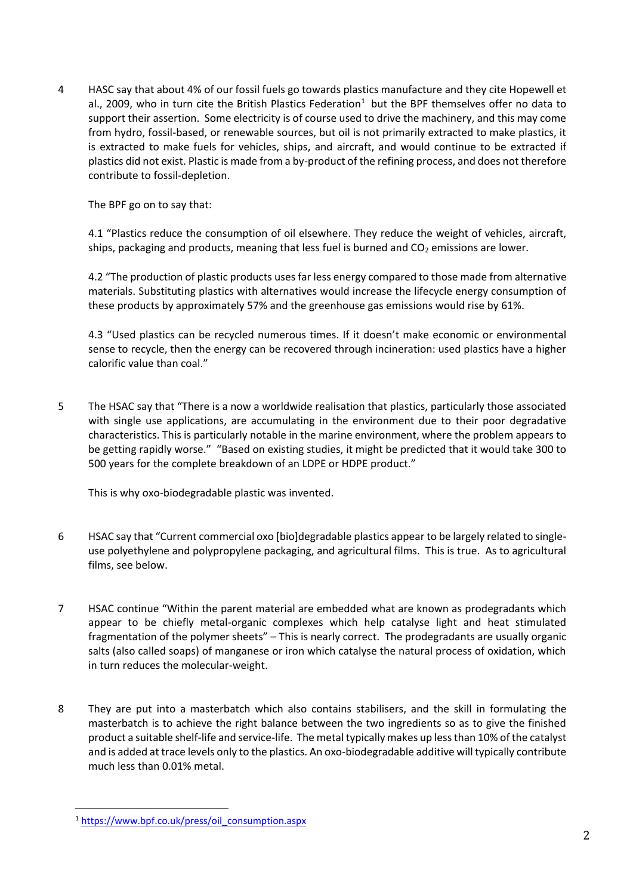4 HASC say that about 4% of our fossil fuels go towards plastics manufacture and they cite Hopewell et al., 2009, who in turn cite the British Plastics Federation<sup>1</sup> but the BPF themselves offer no data to support their assertion. Some electricity is of course used to drive the machinery, and this may come from hydro, fossil-based, or renewable sources, but oil is not primarily extracted to make plastics, it is extracted to make fuels for vehicles, ships, and aircraft, and would continue to be extracted if plastics did not exist. Plastic is made from a by-product of the refining process, and does not therefore contribute to fossil-depletion.

The BPF go on to say that:

4.1 "Plastics reduce the consumption of oil elsewhere. They reduce the weight of vehicles, aircraft, ships, packaging and products, meaning that less fuel is burned and  $CO<sub>2</sub>$  emissions are lower.

4.2 "The production of plastic products uses far less energy compared to those made from alternative materials. Substituting plastics with alternatives would increase the lifecycle energy consumption of these products by approximately 57% and the greenhouse gas emissions would rise by 61%.

4.3 "Used plastics can be recycled numerous times. If it doesn't make economic or environmental sense to recycle, then the energy can be recovered through incineration: used plastics have a higher calorific value than coal."

5 The HSAC say that "There is a now a worldwide realisation that plastics, particularly those associated with single use applications, are accumulating in the environment due to their poor degradative characteristics. This is particularly notable in the marine environment, where the problem appears to be getting rapidly worse." "Based on existing studies, it might be predicted that it would take 300 to 500 years for the complete breakdown of an LDPE or HDPE product."

This is why oxo-biodegradable plastic was invented.

- 6 HSAC say that "Current commercial oxo [bio]degradable plastics appear to be largely related to singleuse polyethylene and polypropylene packaging, and agricultural films. This is true. As to agricultural films, see below.
- 7 HSAC continue "Within the parent material are embedded what are known as prodegradants which appear to be chiefly metal-organic complexes which help catalyse light and heat stimulated fragmentation of the polymer sheets" – This is nearly correct. The prodegradants are usually organic salts (also called soaps) of manganese or iron which catalyse the natural process of oxidation, which in turn reduces the molecular-weight.
- 8 They are put into a masterbatch which also contains stabilisers, and the skill in formulating the masterbatch is to achieve the right balance between the two ingredients so as to give the finished product a suitable shelf-life and service-life. The metal typically makes up less than 10% of the catalyst and is added at trace levels only to the plastics. An oxo-biodegradable additive will typically contribute much less than 0.01% metal.

<sup>1</sup> [https://www.bpf.co.uk/press/oil\\_consumption.aspx](https://www.bpf.co.uk/press/oil_consumption.aspx)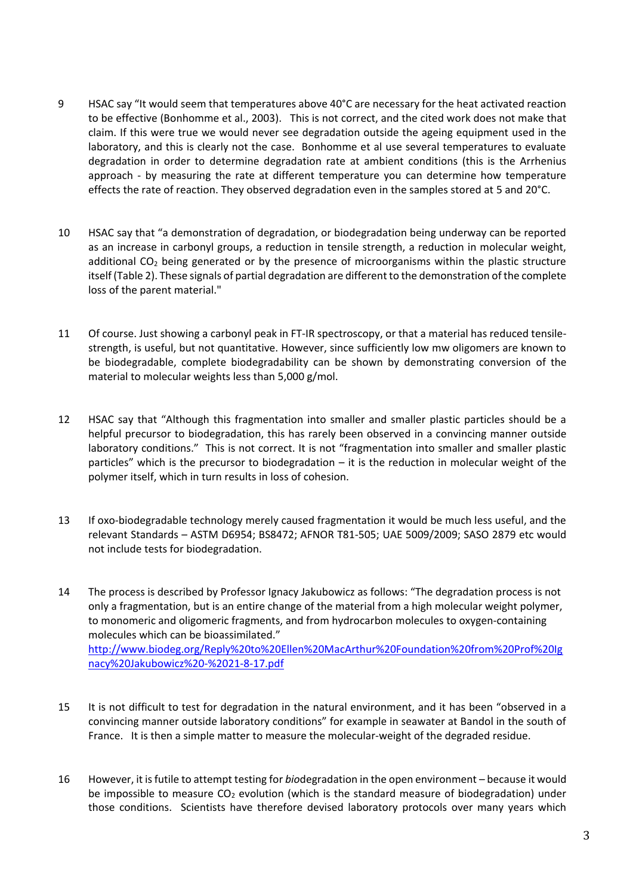- 9 HSAC say "It would seem that temperatures above 40°C are necessary for the heat activated reaction to be effective (Bonhomme et al., 2003). This is not correct, and the cited work does not make that claim. If this were true we would never see degradation outside the ageing equipment used in the laboratory, and this is clearly not the case. Bonhomme et al use several temperatures to evaluate degradation in order to determine degradation rate at ambient conditions (this is the Arrhenius approach - by measuring the rate at different temperature you can determine how temperature effects the rate of reaction. They observed degradation even in the samples stored at 5 and 20°C.
- 10 HSAC say that "a demonstration of degradation, or biodegradation being underway can be reported as an increase in carbonyl groups, a reduction in tensile strength, a reduction in molecular weight, additional  $CO<sub>2</sub>$  being generated or by the presence of microorganisms within the plastic structure itself (Table 2). These signals of partial degradation are different to the demonstration of the complete loss of the parent material."
- 11 Of course. Just showing a carbonyl peak in FT-IR spectroscopy, or that a material has reduced tensilestrength, is useful, but not quantitative. However, since sufficiently low mw oligomers are known to be biodegradable, complete biodegradability can be shown by demonstrating conversion of the material to molecular weights less than 5,000 g/mol.
- 12 HSAC say that "Although this fragmentation into smaller and smaller plastic particles should be a helpful precursor to biodegradation, this has rarely been observed in a convincing manner outside laboratory conditions." This is not correct. It is not "fragmentation into smaller and smaller plastic particles" which is the precursor to biodegradation – it is the reduction in molecular weight of the polymer itself, which in turn results in loss of cohesion.
- 13 If oxo-biodegradable technology merely caused fragmentation it would be much less useful, and the relevant Standards – ASTM D6954; BS8472; AFNOR T81-505; UAE 5009/2009; SASO 2879 etc would not include tests for biodegradation.
- 14 The process is described by Professor Ignacy Jakubowicz as follows: "The degradation process is not only a fragmentation, but is an entire change of the material from a high molecular weight polymer, to monomeric and oligomeric fragments, and from hydrocarbon molecules to oxygen-containing molecules which can be bioassimilated." [http://www.biodeg.org/Reply%20to%20Ellen%20MacArthur%20Foundation%20from%20Prof%20Ig](http://www.biodeg.org/Reply%20to%20Ellen%20MacArthur%20Foundation%20from%20Prof%20Ignacy%20Jakubowicz%20-%2021-8-17.pdf) [nacy%20Jakubowicz%20-%2021-8-17.pdf](http://www.biodeg.org/Reply%20to%20Ellen%20MacArthur%20Foundation%20from%20Prof%20Ignacy%20Jakubowicz%20-%2021-8-17.pdf)
- 15 It is not difficult to test for degradation in the natural environment, and it has been "observed in a convincing manner outside laboratory conditions" for example in seawater at Bandol in the south of France. It is then a simple matter to measure the molecular-weight of the degraded residue.
- 16 However, it is futile to attempt testing for *bio*degradation in the open environment because it would be impossible to measure  $CO<sub>2</sub>$  evolution (which is the standard measure of biodegradation) under those conditions. Scientists have therefore devised laboratory protocols over many years which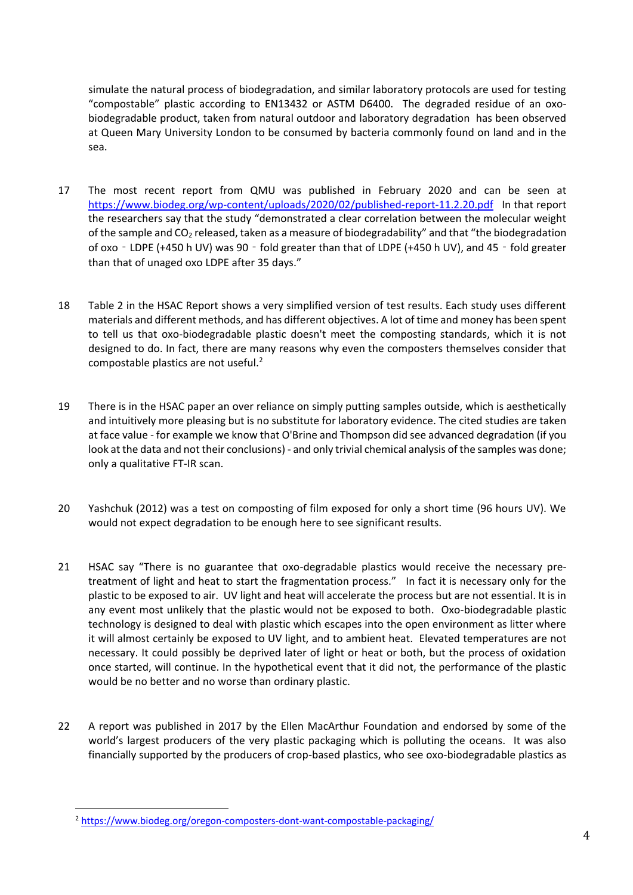simulate the natural process of biodegradation, and similar laboratory protocols are used for testing "compostable" plastic according to EN13432 or ASTM D6400. The degraded residue of an oxobiodegradable product, taken from natural outdoor and laboratory degradation has been observed at Queen Mary University London to be consumed by bacteria commonly found on land and in the sea.

- 17 The most recent report from QMU was published in February 2020 and can be seen at <https://www.biodeg.org/wp-content/uploads/2020/02/published-report-11.2.20.pdf>In that report the researchers say that the study "demonstrated a clear correlation between the molecular weight of the sample and  $CO<sub>2</sub>$  released, taken as a measure of biodegradability" and that "the biodegradation of oxo - LDPE (+450 h UV) was 90 - fold greater than that of LDPE (+450 h UV), and 45 - fold greater than that of unaged oxo LDPE after 35 days."
- 18 Table 2 in the HSAC Report shows a very simplified version of test results. Each study uses different materials and different methods, and has different objectives. A lot of time and money has been spent to tell us that oxo-biodegradable plastic doesn't meet the composting standards, which it is not designed to do. In fact, there are many reasons why even the composters themselves consider that compostable plastics are not useful.<sup>2</sup>
- 19 There is in the HSAC paper an over reliance on simply putting samples outside, which is aesthetically and intuitively more pleasing but is no substitute for laboratory evidence. The cited studies are taken at face value - for example we know that O'Brine and Thompson did see advanced degradation (if you look at the data and not their conclusions) - and only trivial chemical analysis of the samples was done; only a qualitative FT-IR scan.
- 20 Yashchuk (2012) was a test on composting of film exposed for only a short time (96 hours UV). We would not expect degradation to be enough here to see significant results.
- 21 HSAC say "There is no guarantee that oxo-degradable plastics would receive the necessary pretreatment of light and heat to start the fragmentation process." In fact it is necessary only for the plastic to be exposed to air. UV light and heat will accelerate the process but are not essential. It is in any event most unlikely that the plastic would not be exposed to both. Oxo-biodegradable plastic technology is designed to deal with plastic which escapes into the open environment as litter where it will almost certainly be exposed to UV light, and to ambient heat. Elevated temperatures are not necessary. It could possibly be deprived later of light or heat or both, but the process of oxidation once started, will continue. In the hypothetical event that it did not, the performance of the plastic would be no better and no worse than ordinary plastic.
- 22 A report was published in 2017 by the Ellen MacArthur Foundation and endorsed by some of the world's largest producers of the very plastic packaging which is polluting the oceans. It was also financially supported by the producers of crop-based plastics, who see oxo-biodegradable plastics as

<sup>2</sup> <https://www.biodeg.org/oregon-composters-dont-want-compostable-packaging/>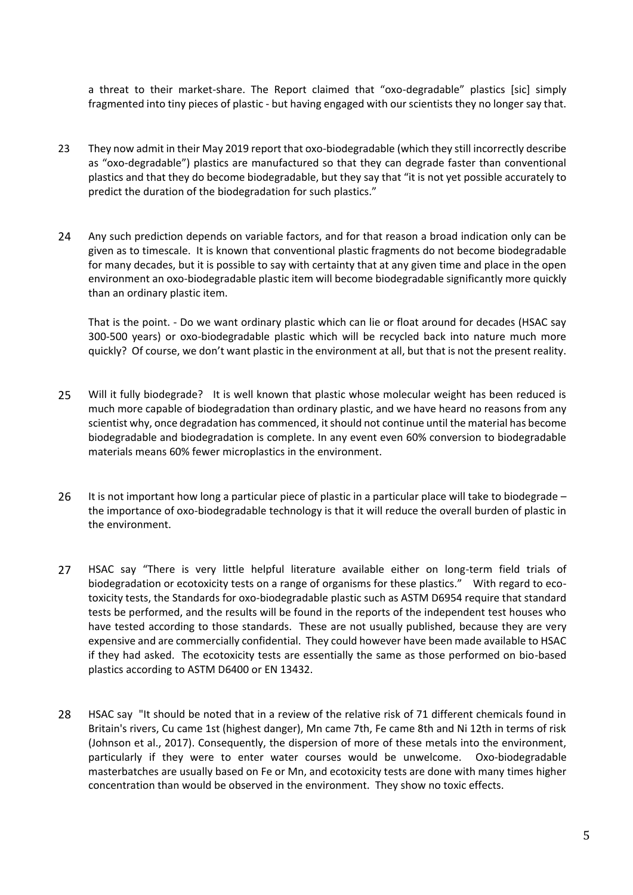a threat to their market-share. The Report claimed that "oxo-degradable" plastics [sic] simply fragmented into tiny pieces of plastic - but having engaged with our scientists they no longer say that.

- 23 They now admit in their May 2019 report that oxo-biodegradable (which they still incorrectly describe as "oxo-degradable") plastics are manufactured so that they can degrade faster than conventional plastics and that they do become biodegradable, but they say that "it is not yet possible accurately to predict the duration of the biodegradation for such plastics."
- 24 Any such prediction depends on variable factors, and for that reason a broad indication only can be given as to timescale. It is known that conventional plastic fragments do not become biodegradable for many decades, but it is possible to say with certainty that at any given time and place in the open environment an oxo-biodegradable plastic item will become biodegradable significantly more quickly than an ordinary plastic item.

That is the point. - Do we want ordinary plastic which can lie or float around for decades (HSAC say 300-500 years) or oxo-biodegradable plastic which will be recycled back into nature much more quickly? Of course, we don't want plastic in the environment at all, but that is not the present reality.

- 25 Will it fully biodegrade? It is well known that plastic whose molecular weight has been reduced is much more capable of biodegradation than ordinary plastic, and we have heard no reasons from any scientist why, once degradation has commenced, it should not continue until the material has become biodegradable and biodegradation is complete. In any event even 60% conversion to biodegradable materials means 60% fewer microplastics in the environment.
- 26 It is not important how long a particular piece of plastic in a particular place will take to biodegrade the importance of oxo-biodegradable technology is that it will reduce the overall burden of plastic in the environment.
- 27 HSAC say "There is very little helpful literature available either on long-term field trials of biodegradation or ecotoxicity tests on a range of organisms for these plastics." With regard to ecotoxicity tests, the Standards for oxo-biodegradable plastic such as ASTM D6954 require that standard tests be performed, and the results will be found in the reports of the independent test houses who have tested according to those standards. These are not usually published, because they are very expensive and are commercially confidential. They could however have been made available to HSAC if they had asked. The ecotoxicity tests are essentially the same as those performed on bio-based plastics according to ASTM D6400 or EN 13432.
- 28 HSAC say "It should be noted that in a review of the relative risk of 71 different chemicals found in Britain's rivers, Cu came 1st (highest danger), Mn came 7th, Fe came 8th and Ni 12th in terms of risk (Johnson et al., 2017). Consequently, the dispersion of more of these metals into the environment, particularly if they were to enter water courses would be unwelcome. Oxo-biodegradable masterbatches are usually based on Fe or Mn, and ecotoxicity tests are done with many times higher concentration than would be observed in the environment. They show no toxic effects.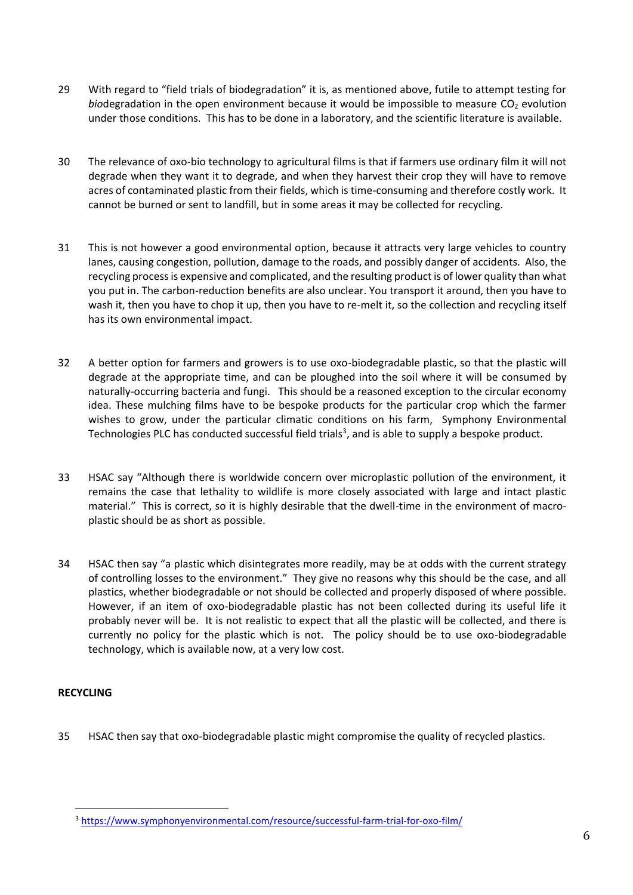- 29 With regard to "field trials of biodegradation" it is, as mentioned above, futile to attempt testing for *biodegradation in the open environment because it would be impossible to measure CO<sub>2</sub> evolution* under those conditions. This has to be done in a laboratory, and the scientific literature is available.
- 30 The relevance of oxo-bio technology to agricultural films is that if farmers use ordinary film it will not degrade when they want it to degrade, and when they harvest their crop they will have to remove acres of contaminated plastic from their fields, which is time-consuming and therefore costly work. It cannot be burned or sent to landfill, but in some areas it may be collected for recycling.
- 31 This is not however a good environmental option, because it attracts very large vehicles to country lanes, causing congestion, pollution, damage to the roads, and possibly danger of accidents. Also, the recycling process is expensive and complicated, and the resulting product is of lower quality than what you put in. The carbon-reduction benefits are also unclear. You transport it around, then you have to wash it, then you have to chop it up, then you have to re-melt it, so the collection and recycling itself has its own environmental impact.
- 32 A better option for farmers and growers is to use oxo-biodegradable plastic, so that the plastic will degrade at the appropriate time, and can be ploughed into the soil where it will be consumed by naturally-occurring bacteria and fungi. This should be a reasoned exception to the circular economy idea. These mulching films have to be bespoke products for the particular crop which the farmer wishes to grow, under the particular climatic conditions on his farm, Symphony Environmental Technologies PLC has conducted successful field trials<sup>3</sup>, and is able to supply a bespoke product.
- 33 HSAC say "Although there is worldwide concern over microplastic pollution of the environment, it remains the case that lethality to wildlife is more closely associated with large and intact plastic material." This is correct, so it is highly desirable that the dwell-time in the environment of macroplastic should be as short as possible.
- 34 HSAC then say "a plastic which disintegrates more readily, may be at odds with the current strategy of controlling losses to the environment." They give no reasons why this should be the case, and all plastics, whether biodegradable or not should be collected and properly disposed of where possible. However, if an item of oxo-biodegradable plastic has not been collected during its useful life it probably never will be. It is not realistic to expect that all the plastic will be collected, and there is currently no policy for the plastic which is not. The policy should be to use oxo-biodegradable technology, which is available now, at a very low cost.

## **RECYCLING**

35 HSAC then say that oxo-biodegradable plastic might compromise the quality of recycled plastics.

<sup>3</sup> <https://www.symphonyenvironmental.com/resource/successful-farm-trial-for-oxo-film/>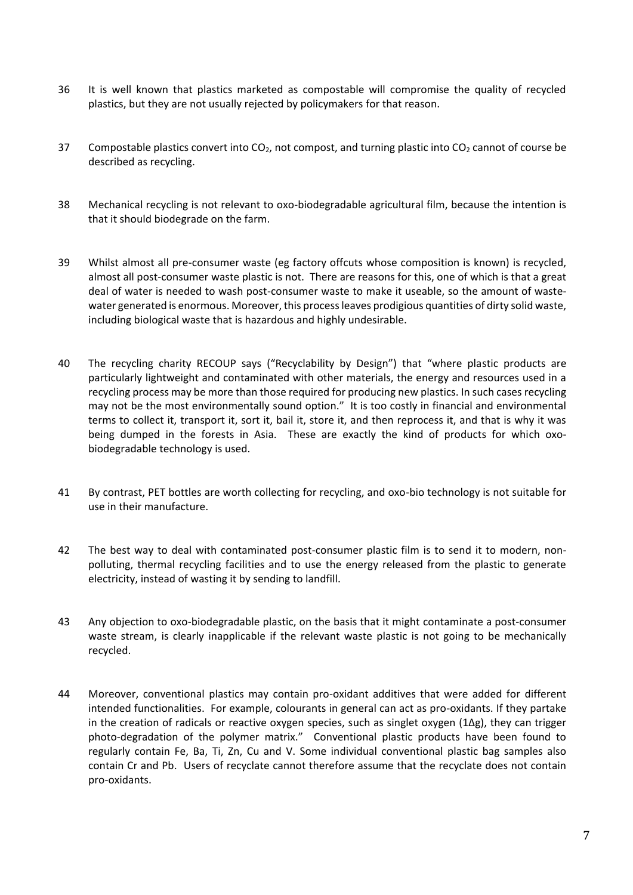- 36 It is well known that plastics marketed as compostable will compromise the quality of recycled plastics, but they are not usually rejected by policymakers for that reason.
- 37 Compostable plastics convert into  $CO<sub>2</sub>$ , not compost, and turning plastic into  $CO<sub>2</sub>$  cannot of course be described as recycling.
- 38 Mechanical recycling is not relevant to oxo-biodegradable agricultural film, because the intention is that it should biodegrade on the farm.
- 39 Whilst almost all pre-consumer waste (eg factory offcuts whose composition is known) is recycled, almost all post-consumer waste plastic is not. There are reasons for this, one of which is that a great deal of water is needed to wash post-consumer waste to make it useable, so the amount of wastewater generated is enormous. Moreover, this process leaves prodigious quantities of dirty solid waste, including biological waste that is hazardous and highly undesirable.
- 40 The recycling charity RECOUP says ("Recyclability by Design") that "where plastic products are particularly lightweight and contaminated with other materials, the energy and resources used in a recycling process may be more than those required for producing new plastics. In such cases recycling may not be the most environmentally sound option." It is too costly in financial and environmental terms to collect it, transport it, sort it, bail it, store it, and then reprocess it, and that is why it was being dumped in the forests in Asia. These are exactly the kind of products for which oxobiodegradable technology is used.
- 41 By contrast, PET bottles are worth collecting for recycling, and oxo-bio technology is not suitable for use in their manufacture.
- 42 The best way to deal with contaminated post-consumer plastic film is to send it to modern, nonpolluting, thermal recycling facilities and to use the energy released from the plastic to generate electricity, instead of wasting it by sending to landfill.
- 43 Any objection to oxo-biodegradable plastic, on the basis that it might contaminate a post-consumer waste stream, is clearly inapplicable if the relevant waste plastic is not going to be mechanically recycled.
- 44 Moreover, conventional plastics may contain pro-oxidant additives that were added for different intended functionalities. For example, colourants in general can act as pro-oxidants. If they partake in the creation of radicals or reactive oxygen species, such as singlet oxygen (1Δg), they can trigger photo-degradation of the polymer matrix." Conventional plastic products have been found to regularly contain Fe, Ba, Ti, Zn, Cu and V. Some individual conventional plastic bag samples also contain Cr and Pb. Users of recyclate cannot therefore assume that the recyclate does not contain pro-oxidants.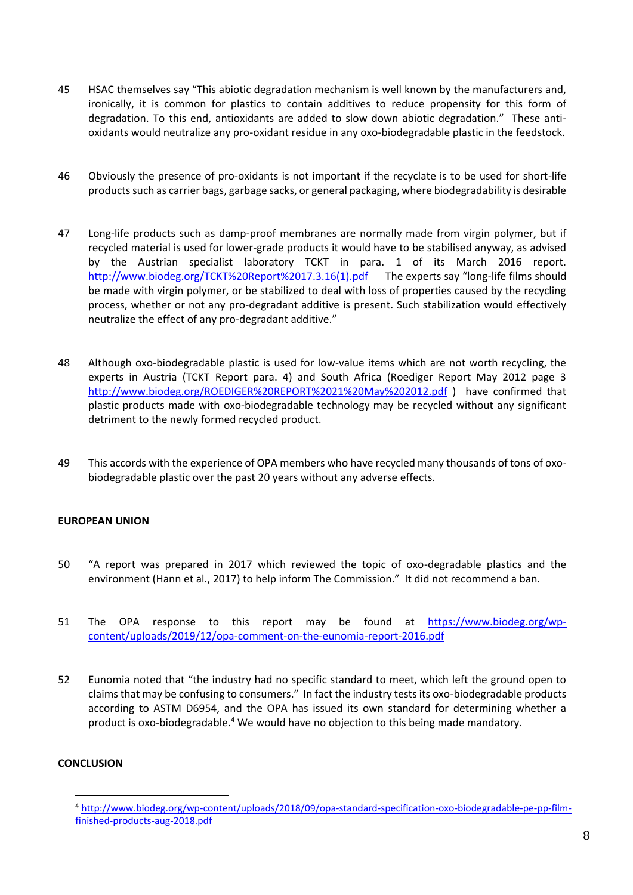- 45 HSAC themselves say "This abiotic degradation mechanism is well known by the manufacturers and, ironically, it is common for plastics to contain additives to reduce propensity for this form of degradation. To this end, antioxidants are added to slow down abiotic degradation." These antioxidants would neutralize any pro-oxidant residue in any oxo-biodegradable plastic in the feedstock.
- 46 Obviously the presence of pro-oxidants is not important if the recyclate is to be used for short-life products such as carrier bags, garbage sacks, or general packaging, where biodegradability is desirable
- 47 Long-life products such as damp-proof membranes are normally made from virgin polymer, but if recycled material is used for lower-grade products it would have to be stabilised anyway, as advised by the Austrian specialist laboratory TCKT in para. 1 of its March 2016 report. [http://www.biodeg.org/TCKT%20Report%2017.3.16\(1\).pdf](http://www.biodeg.org/TCKT%20Report%2017.3.16(1).pdf) The experts say "long-life films should be made with virgin polymer, or be stabilized to deal with loss of properties caused by the recycling process, whether or not any pro-degradant additive is present. Such stabilization would effectively neutralize the effect of any pro-degradant additive."
- 48 Although oxo-biodegradable plastic is used for low-value items which are not worth recycling, the experts in Austria (TCKT Report para. 4) and South Africa (Roediger Report May 2012 page 3 <http://www.biodeg.org/ROEDIGER%20REPORT%2021%20May%202012.pdf> ) have confirmed that plastic products made with oxo-biodegradable technology may be recycled without any significant detriment to the newly formed recycled product.
- 49 This accords with the experience of OPA members who have recycled many thousands of tons of oxobiodegradable plastic over the past 20 years without any adverse effects.

### **EUROPEAN UNION**

- 50 "A report was prepared in 2017 which reviewed the topic of oxo-degradable plastics and the environment (Hann et al., 2017) to help inform The Commission." It did not recommend a ban.
- 51 The OPA response to this report may be found at [https://www.biodeg.org/wp](https://www.biodeg.org/wp-content/uploads/2019/12/opa-comment-on-the-eunomia-report-2016.pdf)[content/uploads/2019/12/opa-comment-on-the-eunomia-report-2016.pdf](https://www.biodeg.org/wp-content/uploads/2019/12/opa-comment-on-the-eunomia-report-2016.pdf)
- 52 Eunomia noted that "the industry had no specific standard to meet, which left the ground open to claims that may be confusing to consumers." In fact the industry tests its oxo-biodegradable products according to ASTM D6954, and the OPA has issued its own standard for determining whether a product is oxo-biodegradable.<sup>4</sup> We would have no objection to this being made mandatory.

## **CONCLUSION**

<sup>4</sup> [http://www.biodeg.org/wp-content/uploads/2018/09/opa-standard-specification-oxo-biodegradable-pe-pp-film](http://www.biodeg.org/wp-content/uploads/2018/09/opa-standard-specification-oxo-biodegradable-pe-pp-film-finished-products-aug-2018.pdf)[finished-products-aug-2018.pdf](http://www.biodeg.org/wp-content/uploads/2018/09/opa-standard-specification-oxo-biodegradable-pe-pp-film-finished-products-aug-2018.pdf)